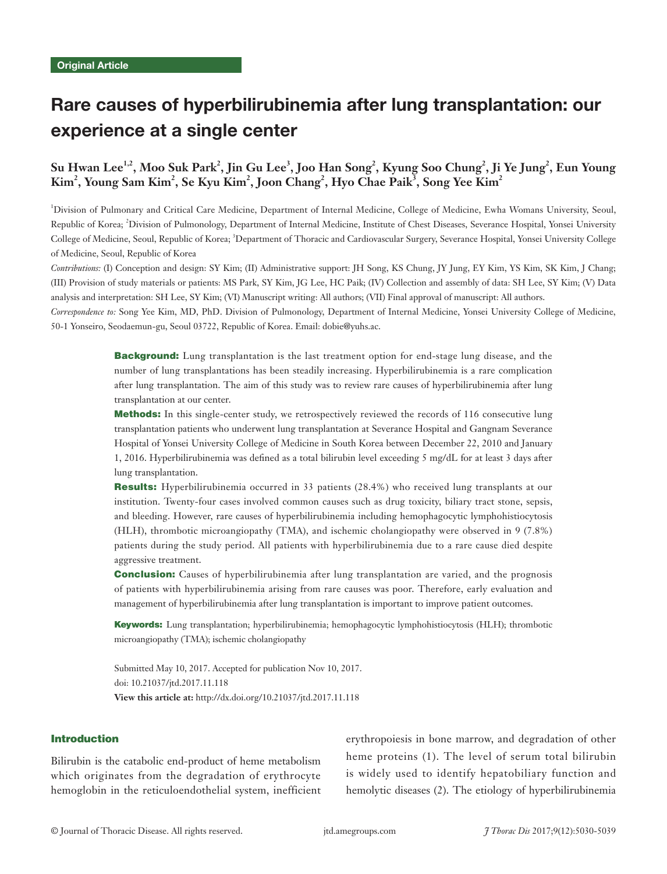# Rare causes of hyperbilirubinemia after lung transplantation: our experience at a single center

# ${\bf S}$ u Hwan Lee<sup>1,2</sup>, Moo Suk Park $^2$ , Jin Gu Lee $^3$ , Joo Han Song $^2$ , Kyung Soo Chung $^2$ , Ji Ye Jung $^2$ , Eun Young  $\text{Kim}^2$ , Young Sam Kim<sup>2</sup>, Se Kyu Kim<sup>2</sup>, Joon Chang<sup>2</sup>, Hyo Chae Paik<sup>3</sup>, Song Yee Kim<sup>2</sup>

1 Division of Pulmonary and Critical Care Medicine, Department of Internal Medicine, College of Medicine, Ewha Womans University, Seoul, Republic of Korea; <sup>2</sup>Division of Pulmonology, Department of Internal Medicine, Institute of Chest Diseases, Severance Hospital, Yonsei University College of Medicine, Seoul, Republic of Korea; <sup>3</sup>Department of Thoracic and Cardiovascular Surgery, Severance Hospital, Yonsei University College of Medicine, Seoul, Republic of Korea

*Contributions:* (I) Conception and design: SY Kim; (II) Administrative support: JH Song, KS Chung, JY Jung, EY Kim, YS Kim, SK Kim, J Chang; (III) Provision of study materials or patients: MS Park, SY Kim, JG Lee, HC Paik; (IV) Collection and assembly of data: SH Lee, SY Kim; (V) Data analysis and interpretation: SH Lee, SY Kim; (VI) Manuscript writing: All authors; (VII) Final approval of manuscript: All authors.

*Correspondence to:* Song Yee Kim, MD, PhD. Division of Pulmonology, Department of Internal Medicine, Yonsei University College of Medicine, 50-1 Yonseiro, Seodaemun-gu, Seoul 03722, Republic of Korea. Email: dobie@yuhs.ac.

> **Background:** Lung transplantation is the last treatment option for end-stage lung disease, and the number of lung transplantations has been steadily increasing. Hyperbilirubinemia is a rare complication after lung transplantation. The aim of this study was to review rare causes of hyperbilirubinemia after lung transplantation at our center.

> Methods: In this single-center study, we retrospectively reviewed the records of 116 consecutive lung transplantation patients who underwent lung transplantation at Severance Hospital and Gangnam Severance Hospital of Yonsei University College of Medicine in South Korea between December 22, 2010 and January 1, 2016. Hyperbilirubinemia was defined as a total bilirubin level exceeding 5 mg/dL for at least 3 days after lung transplantation.

> Results: Hyperbilirubinemia occurred in 33 patients (28.4%) who received lung transplants at our institution. Twenty-four cases involved common causes such as drug toxicity, biliary tract stone, sepsis, and bleeding. However, rare causes of hyperbilirubinemia including hemophagocytic lymphohistiocytosis (HLH), thrombotic microangiopathy (TMA), and ischemic cholangiopathy were observed in 9 (7.8%) patients during the study period. All patients with hyperbilirubinemia due to a rare cause died despite aggressive treatment.

> **Conclusion:** Causes of hyperbilirubinemia after lung transplantation are varied, and the prognosis of patients with hyperbilirubinemia arising from rare causes was poor. Therefore, early evaluation and management of hyperbilirubinemia after lung transplantation is important to improve patient outcomes.

> Keywords: Lung transplantation; hyperbilirubinemia; hemophagocytic lymphohistiocytosis (HLH); thrombotic microangiopathy (TMA); ischemic cholangiopathy

Submitted May 10, 2017. Accepted for publication Nov 10, 2017. doi: 10.21037/jtd.2017.11.118 **View this article at:** http://dx.doi.org/10.21037/jtd.2017.11.118

#### Introduction

Bilirubin is the catabolic end-product of heme metabolism which originates from the degradation of erythrocyte hemoglobin in the reticuloendothelial system, inefficient erythropoiesis in bone marrow, and degradation of other heme proteins (1). The level of serum total bilirubin is widely used to identify hepatobiliary function and hemolytic diseases (2). The etiology of hyperbilirubinemia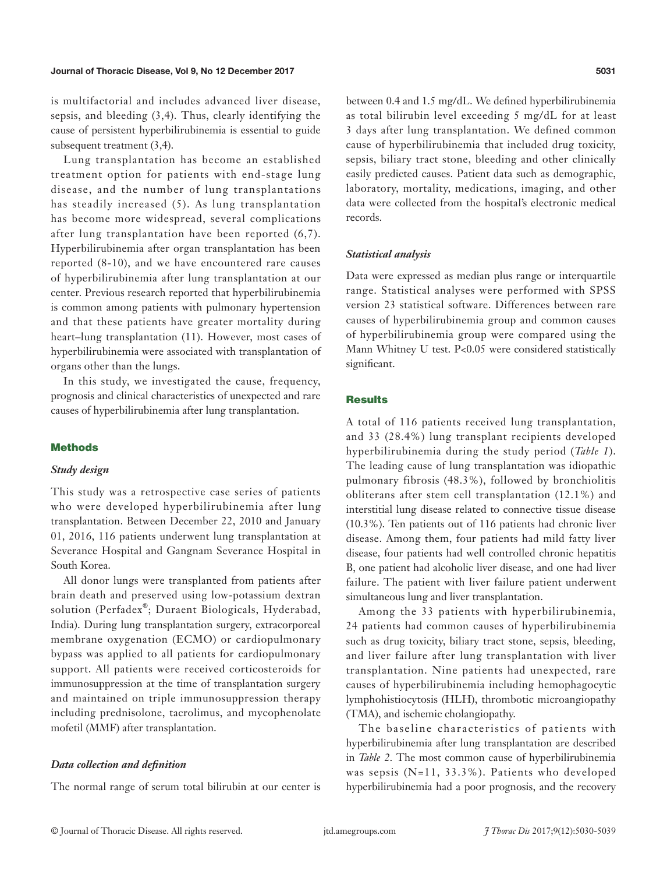is multifactorial and includes advanced liver disease, sepsis, and bleeding (3,4). Thus, clearly identifying the cause of persistent hyperbilirubinemia is essential to guide subsequent treatment (3,4).

Lung transplantation has become an established treatment option for patients with end-stage lung disease, and the number of lung transplantations has steadily increased (5). As lung transplantation has become more widespread, several complications after lung transplantation have been reported (6,7). Hyperbilirubinemia after organ transplantation has been reported (8-10), and we have encountered rare causes of hyperbilirubinemia after lung transplantation at our center. Previous research reported that hyperbilirubinemia is common among patients with pulmonary hypertension and that these patients have greater mortality during heart–lung transplantation (11). However, most cases of hyperbilirubinemia were associated with transplantation of organs other than the lungs.

In this study, we investigated the cause, frequency, prognosis and clinical characteristics of unexpected and rare causes of hyperbilirubinemia after lung transplantation.

# **Methods**

#### *Study design*

This study was a retrospective case series of patients who were developed hyperbilirubinemia after lung transplantation. Between December 22, 2010 and January 01, 2016, 116 patients underwent lung transplantation at Severance Hospital and Gangnam Severance Hospital in South Korea.

All donor lungs were transplanted from patients after brain death and preserved using low-potassium dextran solution (Perfadex®; Duraent Biologicals, Hyderabad, India). During lung transplantation surgery, extracorporeal membrane oxygenation (ECMO) or cardiopulmonary bypass was applied to all patients for cardiopulmonary support. All patients were received corticosteroids for immunosuppression at the time of transplantation surgery and maintained on triple immunosuppression therapy including prednisolone, tacrolimus, and mycophenolate mofetil (MMF) after transplantation.

#### *Data collection and definition*

The normal range of serum total bilirubin at our center is

between 0.4 and 1.5 mg/dL. We defined hyperbilirubinemia as total bilirubin level exceeding 5 mg/dL for at least 3 days after lung transplantation. We defined common cause of hyperbilirubinemia that included drug toxicity, sepsis, biliary tract stone, bleeding and other clinically easily predicted causes. Patient data such as demographic, laboratory, mortality, medications, imaging, and other data were collected from the hospital's electronic medical records.

#### *Statistical analysis*

Data were expressed as median plus range or interquartile range. Statistical analyses were performed with SPSS version 23 statistical software. Differences between rare causes of hyperbilirubinemia group and common causes of hyperbilirubinemia group were compared using the Mann Whitney U test. P<0.05 were considered statistically significant.

# **Results**

A total of 116 patients received lung transplantation, and 33 (28.4%) lung transplant recipients developed hyperbilirubinemia during the study period (*Table 1*). The leading cause of lung transplantation was idiopathic pulmonary fibrosis (48.3%), followed by bronchiolitis obliterans after stem cell transplantation (12.1%) and interstitial lung disease related to connective tissue disease (10.3%). Ten patients out of 116 patients had chronic liver disease. Among them, four patients had mild fatty liver disease, four patients had well controlled chronic hepatitis B, one patient had alcoholic liver disease, and one had liver failure. The patient with liver failure patient underwent simultaneous lung and liver transplantation.

Among the 33 patients with hyperbilirubinemia, 24 patients had common causes of hyperbilirubinemia such as drug toxicity, biliary tract stone, sepsis, bleeding, and liver failure after lung transplantation with liver transplantation. Nine patients had unexpected, rare causes of hyperbilirubinemia including hemophagocytic lymphohistiocytosis (HLH), thrombotic microangiopathy (TMA), and ischemic cholangiopathy.

The baseline characteristics of patients with hyperbilirubinemia after lung transplantation are described in *Table 2*. The most common cause of hyperbilirubinemia was sepsis (N=11, 33.3%). Patients who developed hyperbilirubinemia had a poor prognosis, and the recovery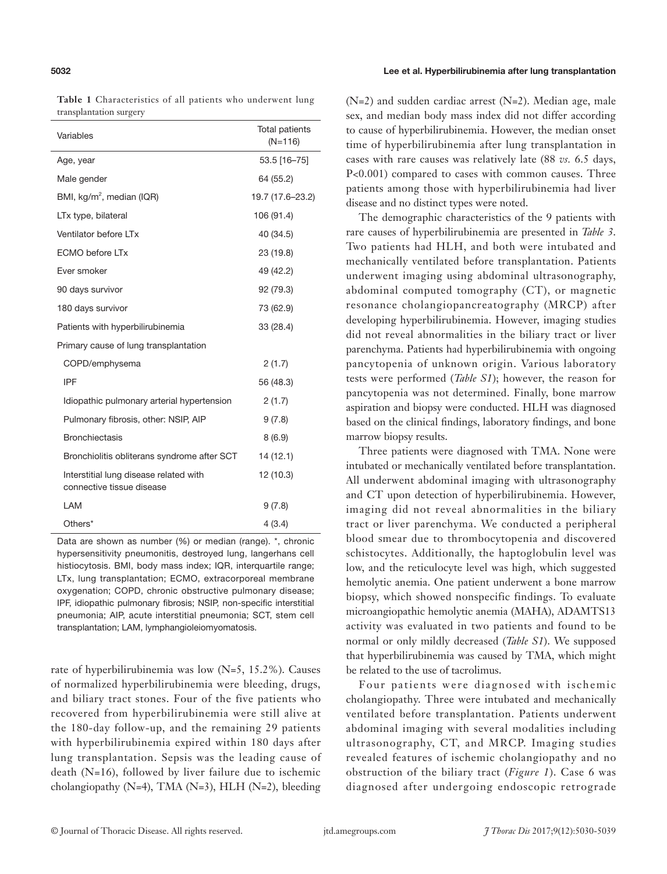**Table 1** Characteristics of all patients who underwent lung transplantation surgery

| Variables                                                           | <b>Total patients</b><br>$(N=116)$ |
|---------------------------------------------------------------------|------------------------------------|
| Age, year                                                           | 53.5 [16-75]                       |
| Male gender                                                         | 64 (55.2)                          |
| BMI, kg/m <sup>2</sup> , median (IQR)                               | 19.7 (17.6-23.2)                   |
| LTx type, bilateral                                                 | 106 (91.4)                         |
| Ventilator before LTx                                               | 40 (34.5)                          |
| <b>ECMO</b> before LTx                                              | 23 (19.8)                          |
| Ever smoker                                                         | 49 (42.2)                          |
| 90 days survivor                                                    | 92 (79.3)                          |
| 180 days survivor                                                   | 73 (62.9)                          |
| Patients with hyperbilirubinemia                                    | 33 (28.4)                          |
| Primary cause of lung transplantation                               |                                    |
| COPD/emphysema                                                      | 2(1.7)                             |
| <b>IPF</b>                                                          | 56 (48.3)                          |
| Idiopathic pulmonary arterial hypertension                          | 2(1.7)                             |
| Pulmonary fibrosis, other: NSIP, AIP                                | 9(7.8)                             |
| <b>Bronchiectasis</b>                                               | 8(6.9)                             |
| Bronchiolitis obliterans syndrome after SCT                         | 14 (12.1)                          |
| Interstitial lung disease related with<br>connective tissue disease | 12 (10.3)                          |
| LAM                                                                 | 9(7.8)                             |
| Others*                                                             | 4(3.4)                             |

Data are shown as number (%) or median (range). \*, chronic hypersensitivity pneumonitis, destroyed lung, langerhans cell histiocytosis. BMI, body mass index; IQR, interquartile range; LTx, lung transplantation; ECMO, extracorporeal membrane oxygenation; COPD, chronic obstructive pulmonary disease; IPF, idiopathic pulmonary fibrosis; NSIP, non-specific interstitial pneumonia; AIP, acute interstitial pneumonia; SCT, stem cell transplantation; LAM, lymphangioleiomyomatosis.

rate of hyperbilirubinemia was low  $(N=5, 15.2\%)$ . Causes of normalized hyperbilirubinemia were bleeding, drugs, and biliary tract stones. Four of the five patients who recovered from hyperbilirubinemia were still alive at the 180-day follow-up, and the remaining 29 patients with hyperbilirubinemia expired within 180 days after lung transplantation. Sepsis was the leading cause of death (N=16), followed by liver failure due to ischemic cholangiopathy (N=4), TMA (N=3), HLH (N=2), bleeding

(N=2) and sudden cardiac arrest (N=2). Median age, male sex, and median body mass index did not differ according to cause of hyperbilirubinemia. However, the median onset time of hyperbilirubinemia after lung transplantation in cases with rare causes was relatively late (88 *vs.* 6.5 days, P<0.001) compared to cases with common causes. Three patients among those with hyperbilirubinemia had liver disease and no distinct types were noted.

The demographic characteristics of the 9 patients with rare causes of hyperbilirubinemia are presented in *Table 3*. Two patients had HLH, and both were intubated and mechanically ventilated before transplantation. Patients underwent imaging using abdominal ultrasonography, abdominal computed tomography (CT), or magnetic resonance cholangiopancreatography (MRCP) after developing hyperbilirubinemia. However, imaging studies did not reveal abnormalities in the biliary tract or liver parenchyma. Patients had hyperbilirubinemia with ongoing pancytopenia of unknown origin. Various laboratory tests were performed (*Table S1*); however, the reason for pancytopenia was not determined. Finally, bone marrow aspiration and biopsy were conducted. HLH was diagnosed based on the clinical findings, laboratory findings, and bone marrow biopsy results.

Three patients were diagnosed with TMA. None were intubated or mechanically ventilated before transplantation. All underwent abdominal imaging with ultrasonography and CT upon detection of hyperbilirubinemia. However, imaging did not reveal abnormalities in the biliary tract or liver parenchyma. We conducted a peripheral blood smear due to thrombocytopenia and discovered schistocytes. Additionally, the haptoglobulin level was low, and the reticulocyte level was high, which suggested hemolytic anemia. One patient underwent a bone marrow biopsy, which showed nonspecific findings. To evaluate microangiopathic hemolytic anemia (MAHA), ADAMTS13 activity was evaluated in two patients and found to be normal or only mildly decreased (*Table S1*). We supposed that hyperbilirubinemia was caused by TMA, which might be related to the use of tacrolimus.

Four patients were diagnosed with ischemic cholangiopathy. Three were intubated and mechanically ventilated before transplantation. Patients underwent abdominal imaging with several modalities including ultrasonography, CT, and MRCP. Imaging studies revealed features of ischemic cholangiopathy and no obstruction of the biliary tract (*Figure 1*). Case 6 was diagnosed after undergoing endoscopic retrograde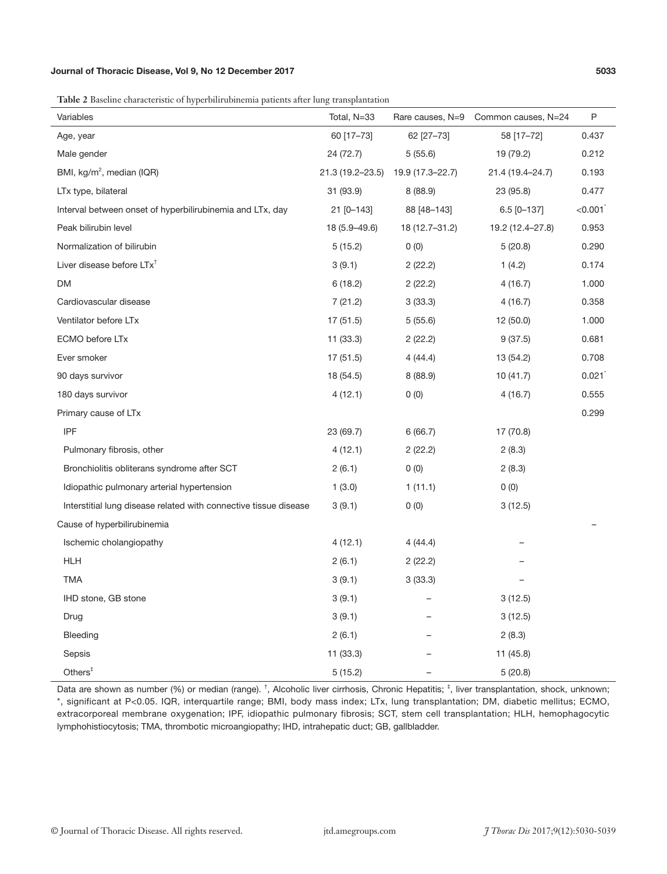**Table 2** Baseline characteristic of hyperbilirubinemia patients after lung transplantation

| Variables                                                        | Total, N=33      | Rare causes, N=9 | Common causes, N=24 | P                     |
|------------------------------------------------------------------|------------------|------------------|---------------------|-----------------------|
| Age, year                                                        | 60 [17-73]       | 62 [27-73]       | 58 [17-72]          | 0.437                 |
| Male gender                                                      | 24 (72.7)        | 5(55.6)          | 19 (79.2)           | 0.212                 |
| BMI, kg/m <sup>2</sup> , median (IQR)                            | 21.3 (19.2-23.5) | 19.9 (17.3-22.7) | 21.4 (19.4-24.7)    | 0.193                 |
| LTx type, bilateral                                              | 31 (93.9)        | 8(88.9)          | 23 (95.8)           | 0.477                 |
| Interval between onset of hyperbilirubinemia and LTx, day        | 21 [0-143]       | 88 [48-143]      | $6.5$ [0-137]       | $\le 0.001^{\degree}$ |
| Peak bilirubin level                                             | 18 (5.9-49.6)    | 18 (12.7-31.2)   | 19.2 (12.4-27.8)    | 0.953                 |
| Normalization of bilirubin                                       | 5(15.2)          | 0(0)             | 5(20.8)             | 0.290                 |
| Liver disease before LTx <sup>+</sup>                            | 3(9.1)           | 2(22.2)          | 1(4.2)              | 0.174                 |
| DM                                                               | 6(18.2)          | 2(22.2)          | 4(16.7)             | 1.000                 |
| Cardiovascular disease                                           | 7(21.2)          | 3(33.3)          | 4(16.7)             | 0.358                 |
| Ventilator before LTx                                            | 17(51.5)         | 5(55.6)          | 12(50.0)            | 1.000                 |
| ECMO before LTx                                                  | 11(33.3)         | 2(22.2)          | 9(37.5)             | 0.681                 |
| Ever smoker                                                      | 17(51.5)         | 4(44.4)          | 13 (54.2)           | 0.708                 |
| 90 days survivor                                                 | 18 (54.5)        | 8(88.9)          | 10(41.7)            | 0.021                 |
| 180 days survivor                                                | 4(12.1)          | 0(0)             | 4(16.7)             | 0.555                 |
| Primary cause of LTx                                             |                  |                  |                     | 0.299                 |
| IPF                                                              | 23 (69.7)        | 6(66.7)          | 17 (70.8)           |                       |
| Pulmonary fibrosis, other                                        | 4(12.1)          | 2(22.2)          | 2(8.3)              |                       |
| Bronchiolitis obliterans syndrome after SCT                      | 2(6.1)           | 0(0)             | 2(8.3)              |                       |
| Idiopathic pulmonary arterial hypertension                       | 1(3.0)           | 1(11.1)          | 0(0)                |                       |
| Interstitial lung disease related with connective tissue disease | 3(9.1)           | 0(0)             | 3(12.5)             |                       |
| Cause of hyperbilirubinemia                                      |                  |                  |                     |                       |
| Ischemic cholangiopathy                                          | 4(12.1)          | 4(44.4)          |                     |                       |
| <b>HLH</b>                                                       | 2(6.1)           | 2(22.2)          |                     |                       |
| <b>TMA</b>                                                       | 3(9.1)           | 3(33.3)          |                     |                       |
| IHD stone, GB stone                                              | 3(9.1)           |                  | 3(12.5)             |                       |
| Drug                                                             | 3(9.1)           |                  | 3(12.5)             |                       |
| Bleeding                                                         | 2(6.1)           |                  | 2(8.3)              |                       |
| Sepsis                                                           | 11 (33.3)        |                  | 11(45.8)            |                       |
| Others $†$                                                       | 5 (15.2)         |                  | 5(20.8)             |                       |

Data are shown as number (%) or median (range). <sup>†</sup>, Alcoholic liver cirrhosis, Chronic Hepatitis; <sup>‡</sup>, liver transplantation, shock, unknown; \*, significant at P<0.05. IQR, interquartile range; BMI, body mass index; LTx, lung transplantation; DM, diabetic mellitus; ECMO, extracorporeal membrane oxygenation; IPF, idiopathic pulmonary fibrosis; SCT, stem cell transplantation; HLH, hemophagocytic lymphohistiocytosis; TMA, thrombotic microangiopathy; IHD, intrahepatic duct; GB, gallbladder.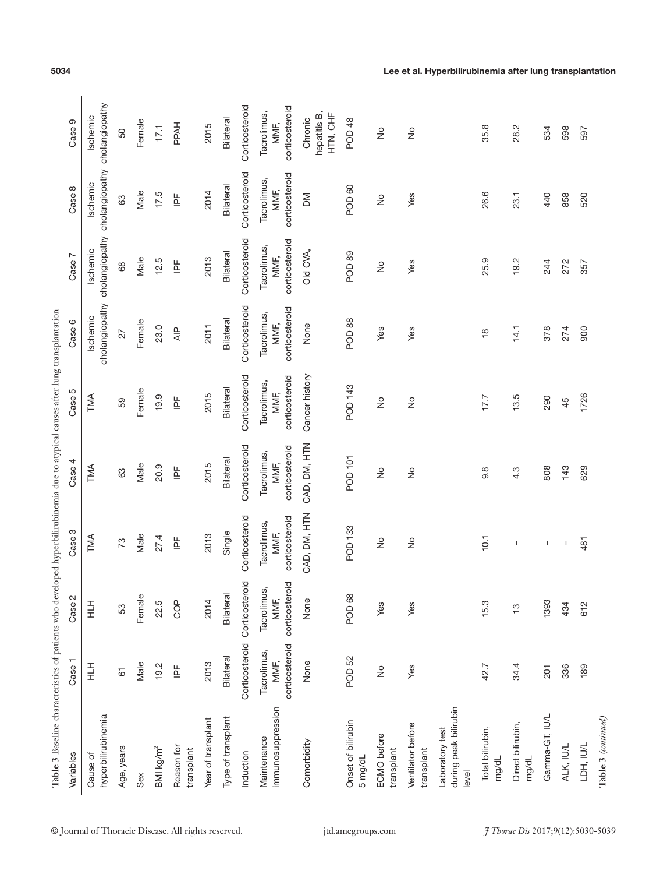| Variables                                         | Case                                  | Case 2                                | Case 3                                | Case 4                                | Case 5                                | Case 6                                | Case 7                                | Case 8                                    | Case 9                                |
|---------------------------------------------------|---------------------------------------|---------------------------------------|---------------------------------------|---------------------------------------|---------------------------------------|---------------------------------------|---------------------------------------|-------------------------------------------|---------------------------------------|
| hyperbilirubinemia<br>Cause of                    | 三                                     | 三                                     | TMA                                   | TMA                                   | TMA                                   | cholangiopathy<br>Ischemic            | cholangiopathy<br>Ischemic            | cholangiopathy cholangiopathy<br>Ischemic | Ischemic                              |
| Age, years                                        | $\overline{6}$                        | 53                                    | 73                                    | යි                                    | SG                                    | 27                                    | 68                                    | 83                                        | 50                                    |
| Sex                                               | Male                                  | Female                                | Male                                  | Male                                  | Female                                | Female                                | Male                                  | Male                                      | Female                                |
| BMkg/m <sup>2</sup>                               | 19.2                                  | 22.5                                  | 27.4                                  | 20.9                                  | 19.9                                  | 23.0                                  | 12.5                                  | 17.5                                      | 17.1                                  |
| Reason for<br>transplant                          | $\overline{\mathbb{E}}$               | COP                                   | $\overline{\mathbb{P}}$               | $\mathop{\underline{\mathbb{E}}}$     | $\mathbb{\underline{F}}$              | $\overline{\mathsf{A}}\mathsf{P}$     | $\overline{\mathbb{P}}$               | $\overline{\mathbb{F}}$                   | <b>PPAH</b>                           |
| Year of transplant                                | 2013                                  | 2014                                  | 2013                                  | 2015                                  | 2015                                  | 2011                                  | 2013                                  | 2014                                      | 2015                                  |
| Type of transplant                                | Bilateral                             | Bilateral                             | Single                                | Bilateral                             | Bilateral                             | Bilateral                             | Bilateral                             | Bilateral                                 | Bilateral                             |
| Induction                                         | Corticosteroid                        | Corticosteroid                        | Corticosteroid                        | Corticosteroid                        | Corticosteroid                        | Corticosteroid                        | Corticosteroid                        | Corticosteroid                            | Corticosteroid                        |
| immunosuppression<br>Maintenance                  | corticosteroid<br>Tacrolimus,<br>MMF, | corticosteroid<br>Tacrolimus,<br>MMF, | corticosteroid<br>Tacrolimus,<br>MMF, | corticosteroid<br>Tacrolimus,<br>MMF, | corticosteroid<br>Tacrolimus,<br>MMF, | corticosteroid<br>Tacrolimus,<br>MMF, | corticosteroid<br>Tacrolimus,<br>MMF, | corticosteroid<br>Tacrolimus,<br>MMF,     | corticosteroid<br>Tacrolimus,<br>MMF, |
| Comorbidity                                       | None                                  | None                                  | CAD, DM, HTN                          | CAD, DM, HTN                          | Cancer history                        | None                                  | Old CVA,                              | ΣÑ                                        | hepatitis B,<br>HHO SH<br>Chronic     |
| Onset of bilirubin<br>5 mg/dL                     | POD <sub>52</sub>                     | POD <sub>68</sub>                     | POD 133                               | POD 101                               | POD 143                               | POD <sub>88</sub>                     | POD <sub>89</sub>                     | POD 60                                    | POD 48                                |
| ECMO before<br>transplant                         | $\frac{1}{2}$                         | Yes                                   | $\frac{1}{2}$                         | $\frac{1}{2}$                         | $\frac{1}{2}$                         | Yes                                   | $\frac{1}{2}$                         | $\frac{1}{2}$                             | $\frac{1}{2}$                         |
| Ventilator before<br>transplant                   | Yes                                   | Yes                                   | $\frac{1}{2}$                         | $\frac{1}{2}$                         | $\frac{1}{2}$                         | Yes                                   | Yes                                   | Yes                                       | $\frac{1}{2}$                         |
| during peak bilirubin<br>Laboratory test<br>level |                                       |                                       |                                       |                                       |                                       |                                       |                                       |                                           |                                       |
| Total bilirubin,<br>mg/dL                         | 42.7                                  | 15.3                                  | 10.1                                  | $9.\overline{8}$                      | 17.7                                  | $\frac{\infty}{\infty}$               | 25.9                                  | 26.6                                      | 35.8                                  |
| Direct bilirubin,<br>mg/dL                        | 34.4                                  | $\frac{1}{2}$                         | $\overline{\phantom{a}}$              | 4.3                                   | 13.5                                  | 14.1                                  | 19.2                                  | 23.1                                      | 28.2                                  |
| Gamma-GT, IU/L                                    | 201                                   | 1393                                  | Т                                     | 808                                   | 290                                   | 378                                   | 244                                   | 440                                       | 534                                   |
| ALK, IU/L                                         | 336                                   | 434                                   | T                                     | 143                                   | 45                                    | 274                                   | 272                                   | 858                                       | 598                                   |
| LDH, IU/L                                         | 189                                   | 612                                   | 481                                   | 629                                   | 1726                                  | 900                                   | 357                                   | 520                                       | 597                                   |

# 5034 Lee et al. Hyperbilirubinemia after lung transplantation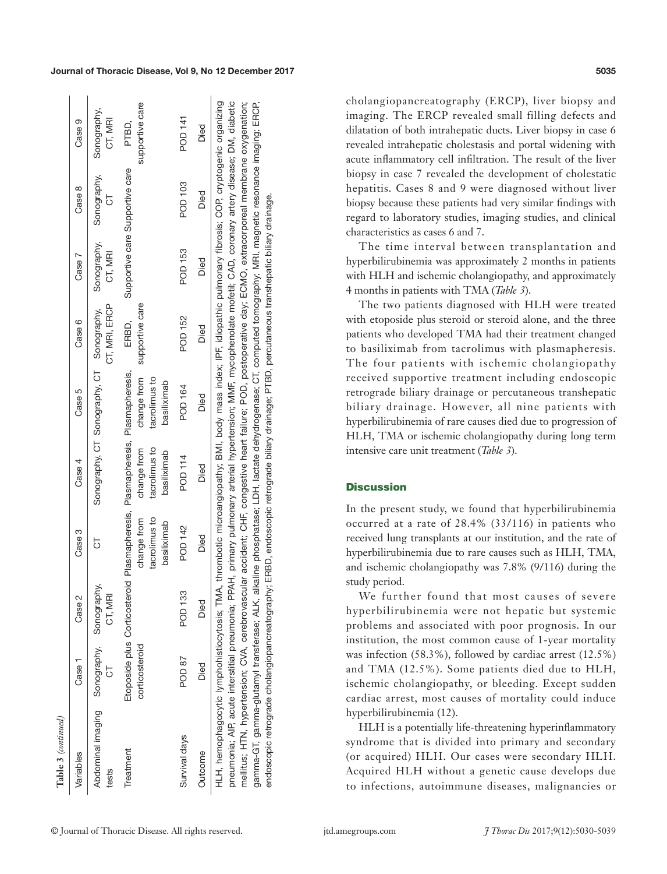| Table 3 (continued)                                                                                                                                                                                                                                                                                                                                                                                                                                                                                                                                                                                                                                                                                                                                                                                                        |                                   |             |                                             |                                                                                                                              |                                             |                          |                        |                                 |                          |
|----------------------------------------------------------------------------------------------------------------------------------------------------------------------------------------------------------------------------------------------------------------------------------------------------------------------------------------------------------------------------------------------------------------------------------------------------------------------------------------------------------------------------------------------------------------------------------------------------------------------------------------------------------------------------------------------------------------------------------------------------------------------------------------------------------------------------|-----------------------------------|-------------|---------------------------------------------|------------------------------------------------------------------------------------------------------------------------------|---------------------------------------------|--------------------------|------------------------|---------------------------------|--------------------------|
| Variables                                                                                                                                                                                                                                                                                                                                                                                                                                                                                                                                                                                                                                                                                                                                                                                                                  | Case 1                            | Case 2      | Case 3                                      | Case 4                                                                                                                       | Case 5                                      | Case 6                   | Case 7                 | Case 8                          | Case 9                   |
| Abdominal imaging<br>tests                                                                                                                                                                                                                                                                                                                                                                                                                                                                                                                                                                                                                                                                                                                                                                                                 | Sonography, Sonography,<br>5<br>C | CT, MR      | 5                                           |                                                                                                                              | Sonography, CT Sonography, CT Sonography,   | CT, MRI, ERCP            | Sonography,<br>CT, MRI | Sonography,<br>5                | Sonography,<br>CT, MRI   |
| Treatment                                                                                                                                                                                                                                                                                                                                                                                                                                                                                                                                                                                                                                                                                                                                                                                                                  | corticosteroid                    |             | tacrolimus to<br>change from<br>basiliximab | Etoposide plus Corticosteroid Plasmapheresis, Plasmapheresis, Plasmapheresis,<br>tacrolimus to<br>change from<br>basiliximab | change from<br>tacrolimus to<br>basiliximab | supportive care<br>ERBD, |                        | Supportive care Supportive care | supportive care<br>PTBD, |
| Survival days                                                                                                                                                                                                                                                                                                                                                                                                                                                                                                                                                                                                                                                                                                                                                                                                              | POD 87                            | POD 133     | POD 142                                     | POD 114                                                                                                                      | POD 164                                     | POD 152                  | POD 153                | POD 103                         | <b>POD 141</b>           |
| Outcome                                                                                                                                                                                                                                                                                                                                                                                                                                                                                                                                                                                                                                                                                                                                                                                                                    | Died                              | <b>Died</b> | Died                                        | Died                                                                                                                         | Died                                        | Died                     | Died                   | Died                            | Died                     |
| HLH, hemophagocytic lymphohistiocytosis; TMA, thrombotic microangiopathy; BMI, body mass index; IPF, idiopathic pulmonary fibrosis; COP, cryptogenic organizing<br>pneumonia; AIP, acute interstitial pneumonia; PPAH, primary pulmonary arterial hypertension; MMF, mycophenolate mofetii; CAD, coronary artery disease; DM, diabetic<br>mellitus; HTN, hypertension; CVA, cerebrovascular accident; CHF, congestive heart failure; POD, postoperative day; ECMO, extracorporeal membrane oxygenation;<br>gamma-GT, gamma-glutamyl transferase; ALK, alkaline phosphatase; LDH, lactate dehydrogenase; CT, computed tomography; MRI, magnetic resonance imaging; ERCP,<br>endoscopic retrograde cholangiopancreatography; ERBD, endoscopic retrograde biliary drainage; PTBD, percutaneous transhepatic biliary drainage. |                                   |             |                                             |                                                                                                                              |                                             |                          |                        |                                 |                          |

cholangiopancreatography (ERCP), liver biopsy and imaging. The ERCP revealed small filling defects and dilatation of both intrahepatic ducts. Liver biopsy in case 6 revealed intrahepatic cholestasis and portal widening with acute inflammatory cell infiltration. The result of the liver biopsy in case 7 revealed the development of cholestatic hepatitis. Cases 8 and 9 were diagnosed without liver biopsy because these patients had very similar findings with regard to laboratory studies, imaging studies, and clinical characteristics as cases 6 and 7.

The time interval between transplantation and hyperbilirubinemia was approximately 2 months in patients with HLH and ischemic cholangiopathy, and approximately 4 months in patients with TMA (*Table 3*).

The two patients diagnosed with HLH were treated with etoposide plus steroid or steroid alone, and the three patients who developed TMA had their treatment changed to basiliximab from tacrolimus with plasmapheresis. The four patients with ischemic cholangiopathy received supportive treatment including endoscopic retrograde biliary drainage or percutaneous transhepatic biliary drainage. However, all nine patients with hyperbilirubinemia of rare causes died due to progression of HLH, TMA or ischemic cholangiopathy during long term intensive care unit treatment (*Table 3*).

# **Discussion**

In the present study, we found that hyperbilirubinemia occurred at a rate of 28.4% (33/116) in patients who received lung transplants at our institution, and the rate of hyperbilirubinemia due to rare causes such as HLH, TMA, and ischemic cholangiopathy was 7.8% (9/116) during the study period.

We further found that most causes of severe hyperbilirubinemia were not hepatic but systemic problems and associated with poor prognosis. In our institution, the most common cause of 1-year mortality was infection (58.3%), followed by cardiac arrest (12.5%) and TMA (12.5%). Some patients died due to HLH, ischemic cholangiopathy, or bleeding. Except sudden cardiac arrest, most causes of mortality could induce hyperbilirubinemia (12).

HLH is a potentially life-threatening hyperinflammatory syndrome that is divided into primary and secondary (or acquired) HLH. Our cases were secondary HLH. Acquired HLH without a genetic cause develops due to infections, autoimmune diseases, malignancies or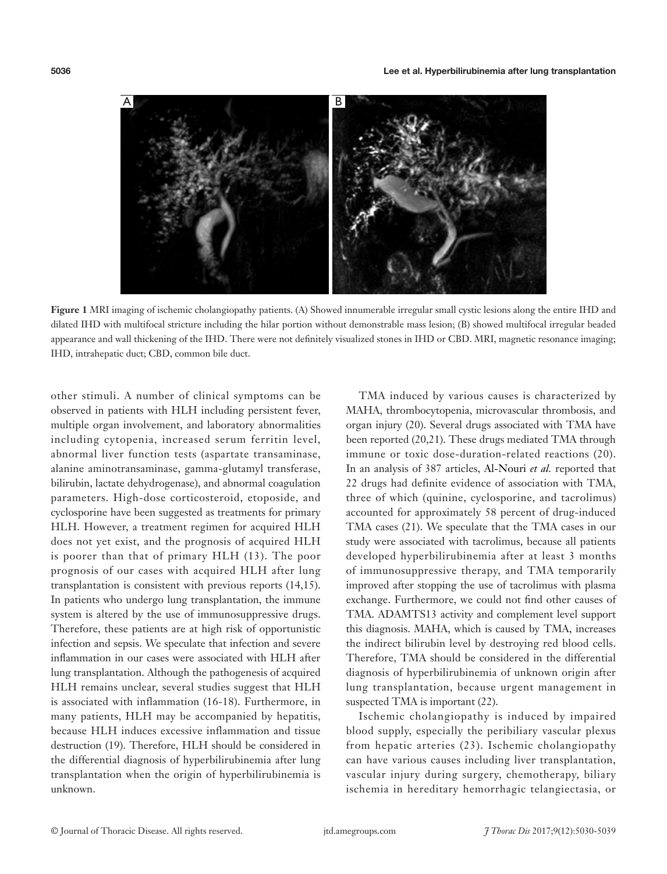

**Figure 1** MRI imaging of ischemic cholangiopathy patients. (A) Showed innumerable irregular small cystic lesions along the entire IHD and dilated IHD with multifocal stricture including the hilar portion without demonstrable mass lesion; (B) showed multifocal irregular beaded appearance and wall thickening of the IHD. There were not definitely visualized stones in IHD or CBD. MRI, magnetic resonance imaging; IHD, intrahepatic duct; CBD, common bile duct.

other stimuli. A number of clinical symptoms can be observed in patients with HLH including persistent fever, multiple organ involvement, and laboratory abnormalities including cytopenia, increased serum ferritin level, abnormal liver function tests (aspartate transaminase, alanine aminotransaminase, gamma-glutamyl transferase, bilirubin, lactate dehydrogenase), and abnormal coagulation parameters. High-dose corticosteroid, etoposide, and cyclosporine have been suggested as treatments for primary HLH. However, a treatment regimen for acquired HLH does not yet exist, and the prognosis of acquired HLH is poorer than that of primary HLH (13). The poor prognosis of our cases with acquired HLH after lung transplantation is consistent with previous reports (14,15). In patients who undergo lung transplantation, the immune system is altered by the use of immunosuppressive drugs. Therefore, these patients are at high risk of opportunistic infection and sepsis. We speculate that infection and severe inflammation in our cases were associated with HLH after lung transplantation. Although the pathogenesis of acquired HLH remains unclear, several studies suggest that HLH is associated with inflammation (16-18). Furthermore, in many patients, HLH may be accompanied by hepatitis, because HLH induces excessive inflammation and tissue destruction (19). Therefore, HLH should be considered in the differential diagnosis of hyperbilirubinemia after lung transplantation when the origin of hyperbilirubinemia is unknown.

TMA induced by various causes is characterized by MAHA, thrombocytopenia, microvascular thrombosis, and organ injury (20). Several drugs associated with TMA have been reported (20,21). These drugs mediated TMA through immune or toxic dose-duration-related reactions (20). In an analysis of 387 articles, Al-Nouri *et al.* reported that 22 drugs had definite evidence of association with TMA, three of which (quinine, cyclosporine, and tacrolimus) accounted for approximately 58 percent of drug-induced TMA cases (21). We speculate that the TMA cases in our study were associated with tacrolimus, because all patients developed hyperbilirubinemia after at least 3 months of immunosuppressive therapy, and TMA temporarily improved after stopping the use of tacrolimus with plasma exchange. Furthermore, we could not find other causes of TMA. ADAMTS13 activity and complement level support this diagnosis. MAHA, which is caused by TMA, increases the indirect bilirubin level by destroying red blood cells. Therefore, TMA should be considered in the differential diagnosis of hyperbilirubinemia of unknown origin after lung transplantation, because urgent management in suspected TMA is important (22).

Ischemic cholangiopathy is induced by impaired blood supply, especially the peribiliary vascular plexus from hepatic arteries (23). Ischemic cholangiopathy can have various causes including liver transplantation, vascular injury during surgery, chemotherapy, biliary ischemia in hereditary hemorrhagic telangiectasia, or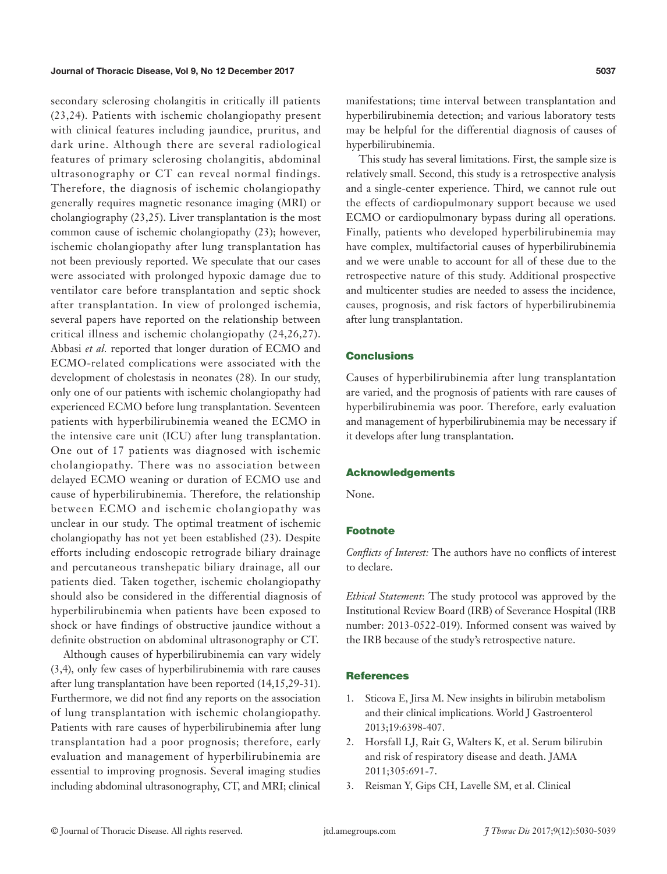secondary sclerosing cholangitis in critically ill patients (23,24). Patients with ischemic cholangiopathy present with clinical features including jaundice, pruritus, and dark urine. Although there are several radiological features of primary sclerosing cholangitis, abdominal ultrasonography or CT can reveal normal findings. Therefore, the diagnosis of ischemic cholangiopathy generally requires magnetic resonance imaging (MRI) or cholangiography (23,25). Liver transplantation is the most common cause of ischemic cholangiopathy (23); however, ischemic cholangiopathy after lung transplantation has not been previously reported. We speculate that our cases were associated with prolonged hypoxic damage due to ventilator care before transplantation and septic shock after transplantation. In view of prolonged ischemia, several papers have reported on the relationship between critical illness and ischemic cholangiopathy (24,26,27). Abbasi *et al.* reported that longer duration of ECMO and ECMO-related complications were associated with the development of cholestasis in neonates (28). In our study, only one of our patients with ischemic cholangiopathy had experienced ECMO before lung transplantation. Seventeen patients with hyperbilirubinemia weaned the ECMO in the intensive care unit (ICU) after lung transplantation. One out of 17 patients was diagnosed with ischemic cholangiopathy. There was no association between delayed ECMO weaning or duration of ECMO use and cause of hyperbilirubinemia. Therefore, the relationship between ECMO and ischemic cholangiopathy was unclear in our study. The optimal treatment of ischemic cholangiopathy has not yet been established (23). Despite efforts including endoscopic retrograde biliary drainage and percutaneous transhepatic biliary drainage, all our patients died. Taken together, ischemic cholangiopathy should also be considered in the differential diagnosis of hyperbilirubinemia when patients have been exposed to shock or have findings of obstructive jaundice without a definite obstruction on abdominal ultrasonography or CT.

Although causes of hyperbilirubinemia can vary widely (3,4), only few cases of hyperbilirubinemia with rare causes after lung transplantation have been reported (14,15,29-31). Furthermore, we did not find any reports on the association of lung transplantation with ischemic cholangiopathy. Patients with rare causes of hyperbilirubinemia after lung transplantation had a poor prognosis; therefore, early evaluation and management of hyperbilirubinemia are essential to improving prognosis. Several imaging studies including abdominal ultrasonography, CT, and MRI; clinical

manifestations; time interval between transplantation and hyperbilirubinemia detection; and various laboratory tests may be helpful for the differential diagnosis of causes of hyperbilirubinemia.

This study has several limitations. First, the sample size is relatively small. Second, this study is a retrospective analysis and a single-center experience. Third, we cannot rule out the effects of cardiopulmonary support because we used ECMO or cardiopulmonary bypass during all operations. Finally, patients who developed hyperbilirubinemia may have complex, multifactorial causes of hyperbilirubinemia and we were unable to account for all of these due to the retrospective nature of this study. Additional prospective and multicenter studies are needed to assess the incidence, causes, prognosis, and risk factors of hyperbilirubinemia after lung transplantation.

# **Conclusions**

Causes of hyperbilirubinemia after lung transplantation are varied, and the prognosis of patients with rare causes of hyperbilirubinemia was poor. Therefore, early evaluation and management of hyperbilirubinemia may be necessary if it develops after lung transplantation.

#### Acknowledgements

None.

# Footnote

*Conflicts of Interest:* The authors have no conflicts of interest to declare.

*Ethical Statement*: The study protocol was approved by the Institutional Review Board (IRB) of Severance Hospital (IRB number: 2013-0522-019). Informed consent was waived by the IRB because of the study's retrospective nature.

#### **References**

- 1. Sticova E, Jirsa M. New insights in bilirubin metabolism and their clinical implications. World J Gastroenterol 2013;19:6398-407.
- 2. Horsfall LJ, Rait G, Walters K, et al. Serum bilirubin and risk of respiratory disease and death. JAMA 2011;305:691-7.
- 3. Reisman Y, Gips CH, Lavelle SM, et al. Clinical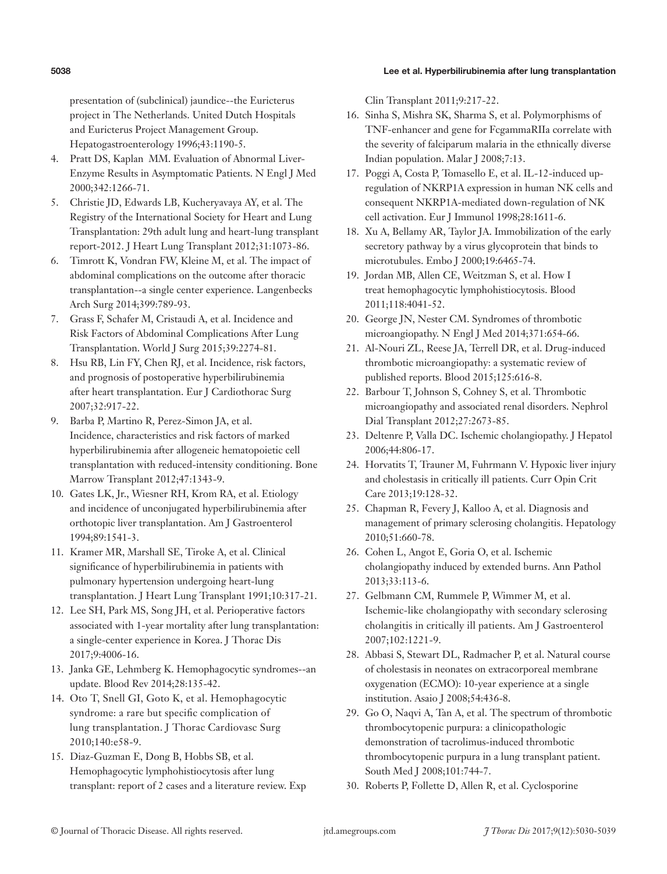#### 5038 Lee et al. Hyperbilirubinemia after lung transplantation

presentation of (subclinical) jaundice--the Euricterus project in The Netherlands. United Dutch Hospitals and Euricterus Project Management Group. Hepatogastroenterology 1996;43:1190-5.

- 4. Pratt DS, Kaplan MM. Evaluation of Abnormal Liver-Enzyme Results in Asymptomatic Patients. N Engl J Med 2000;342:1266-71.
- 5. Christie JD, Edwards LB, Kucheryavaya AY, et al. The Registry of the International Society for Heart and Lung Transplantation: 29th adult lung and heart-lung transplant report-2012. J Heart Lung Transplant 2012;31:1073-86.
- 6. Timrott K, Vondran FW, Kleine M, et al. The impact of abdominal complications on the outcome after thoracic transplantation--a single center experience. Langenbecks Arch Surg 2014;399:789-93.
- 7. Grass F, Schafer M, Cristaudi A, et al. Incidence and Risk Factors of Abdominal Complications After Lung Transplantation. World J Surg 2015;39:2274-81.
- 8. Hsu RB, Lin FY, Chen RJ, et al. Incidence, risk factors, and prognosis of postoperative hyperbilirubinemia after heart transplantation. Eur J Cardiothorac Surg 2007;32:917-22.
- 9. Barba P, Martino R, Perez-Simon JA, et al. Incidence, characteristics and risk factors of marked hyperbilirubinemia after allogeneic hematopoietic cell transplantation with reduced-intensity conditioning. Bone Marrow Transplant 2012;47:1343-9.
- 10. Gates LK, Jr., Wiesner RH, Krom RA, et al. Etiology and incidence of unconjugated hyperbilirubinemia after orthotopic liver transplantation. Am J Gastroenterol 1994;89:1541-3.
- 11. Kramer MR, Marshall SE, Tiroke A, et al. Clinical significance of hyperbilirubinemia in patients with pulmonary hypertension undergoing heart-lung transplantation. J Heart Lung Transplant 1991;10:317-21.
- 12. Lee SH, Park MS, Song JH, et al. Perioperative factors associated with 1-year mortality after lung transplantation: a single-center experience in Korea. J Thorac Dis 2017;9:4006-16.
- 13. Janka GE, Lehmberg K. Hemophagocytic syndromes--an update. Blood Rev 2014;28:135-42.
- 14. Oto T, Snell GI, Goto K, et al. Hemophagocytic syndrome: a rare but specific complication of lung transplantation. J Thorac Cardiovasc Surg 2010;140:e58-9.
- 15. Diaz-Guzman E, Dong B, Hobbs SB, et al. Hemophagocytic lymphohistiocytosis after lung transplant: report of 2 cases and a literature review. Exp

Clin Transplant 2011;9:217-22.

- 16. Sinha S, Mishra SK, Sharma S, et al. Polymorphisms of TNF-enhancer and gene for FcgammaRIIa correlate with the severity of falciparum malaria in the ethnically diverse Indian population. Malar J 2008;7:13.
- 17. Poggi A, Costa P, Tomasello E, et al. IL-12-induced upregulation of NKRP1A expression in human NK cells and consequent NKRP1A-mediated down-regulation of NK cell activation. Eur J Immunol 1998;28:1611-6.
- 18. Xu A, Bellamy AR, Taylor JA. Immobilization of the early secretory pathway by a virus glycoprotein that binds to microtubules. Embo J 2000;19:6465-74.
- 19. Jordan MB, Allen CE, Weitzman S, et al. How I treat hemophagocytic lymphohistiocytosis. Blood 2011;118:4041-52.
- 20. George JN, Nester CM. Syndromes of thrombotic microangiopathy. N Engl J Med 2014;371:654-66.
- 21. Al-Nouri ZL, Reese JA, Terrell DR, et al. Drug-induced thrombotic microangiopathy: a systematic review of published reports. Blood 2015;125:616-8.
- 22. Barbour T, Johnson S, Cohney S, et al. Thrombotic microangiopathy and associated renal disorders. Nephrol Dial Transplant 2012;27:2673-85.
- 23. Deltenre P, Valla DC. Ischemic cholangiopathy. J Hepatol 2006;44:806-17.
- 24. Horvatits T, Trauner M, Fuhrmann V. Hypoxic liver injury and cholestasis in critically ill patients. Curr Opin Crit Care 2013;19:128-32.
- 25. Chapman R, Fevery J, Kalloo A, et al. Diagnosis and management of primary sclerosing cholangitis. Hepatology 2010;51:660-78.
- 26. Cohen L, Angot E, Goria O, et al. Ischemic cholangiopathy induced by extended burns. Ann Pathol 2013;33:113-6.
- 27. Gelbmann CM, Rummele P, Wimmer M, et al. Ischemic-like cholangiopathy with secondary sclerosing cholangitis in critically ill patients. Am J Gastroenterol 2007;102:1221-9.
- 28. Abbasi S, Stewart DL, Radmacher P, et al. Natural course of cholestasis in neonates on extracorporeal membrane oxygenation (ECMO): 10-year experience at a single institution. Asaio J 2008;54:436-8.
- 29. Go O, Naqvi A, Tan A, et al. The spectrum of thrombotic thrombocytopenic purpura: a clinicopathologic demonstration of tacrolimus-induced thrombotic thrombocytopenic purpura in a lung transplant patient. South Med J 2008;101:744-7.
- 30. Roberts P, Follette D, Allen R, et al. Cyclosporine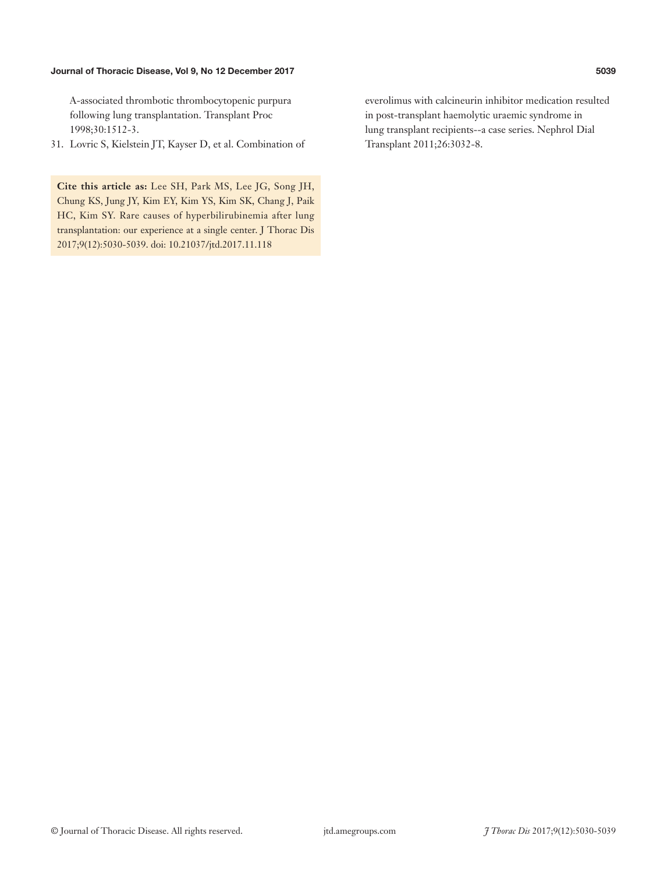A-associated thrombotic thrombocytopenic purpura following lung transplantation. Transplant Proc 1998;30:1512-3.

31. Lovric S, Kielstein JT, Kayser D, et al. Combination of

**Cite this article as:** Lee SH, Park MS, Lee JG, Song JH, Chung KS, Jung JY, Kim EY, Kim YS, Kim SK, Chang J, Paik HC, Kim SY. Rare causes of hyperbilirubinemia after lung transplantation: our experience at a single center. J Thorac Dis 2017;9(12):5030-5039. doi: 10.21037/jtd.2017.11.118

everolimus with calcineurin inhibitor medication resulted in post-transplant haemolytic uraemic syndrome in lung transplant recipients--a case series. Nephrol Dial Transplant 2011;26:3032-8.